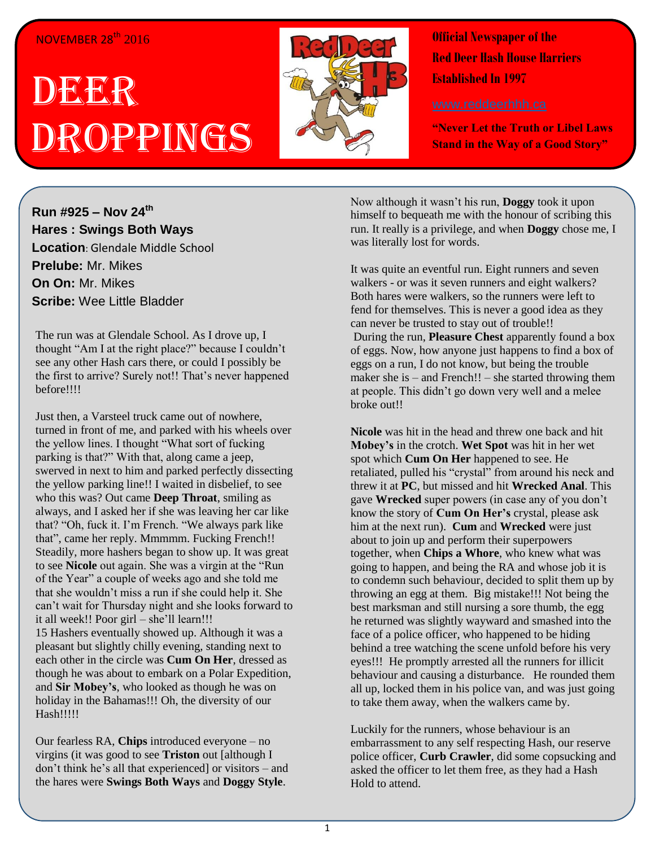## NOVEMBER 28<sup>th</sup> 2016

## DEER Droppings



**Official Newspaper of the Red Deer Hash House Harriers Established In 1997** 

**"Never Let the Truth or Libel Laws Stand in the Way of a Good Story"**

**Run #925 – Nov 24 th Hares : Swings Both Ways Location**: Glendale Middle School **Prelube:** Mr. Mikes **On On:** Mr. Mikes **Scribe:** Wee Little Bladder

The run was at Glendale School. As I drove up, I thought "Am I at the right place?" because I couldn't see any other Hash cars there, or could I possibly be the first to arrive? Surely not!! That's never happened before!!!!

Just then, a Varsteel truck came out of nowhere, turned in front of me, and parked with his wheels over the yellow lines. I thought "What sort of fucking parking is that?" With that, along came a jeep, swerved in next to him and parked perfectly dissecting the yellow parking line!! I waited in disbelief, to see who this was? Out came **Deep Throat**, smiling as always, and I asked her if she was leaving her car like that? "Oh, fuck it. I'm French. "We always park like that", came her reply. Mmmmm. Fucking French!! Steadily, more hashers began to show up. It was great to see **Nicole** out again. She was a virgin at the "Run of the Year" a couple of weeks ago and she told me that she wouldn't miss a run if she could help it. She can't wait for Thursday night and she looks forward to it all week!! Poor girl – she'll learn!!! 15 Hashers eventually showed up. Although it was a pleasant but slightly chilly evening, standing next to each other in the circle was **Cum On Her**, dressed as though he was about to embark on a Polar Expedition, and **Sir Mobey's**, who looked as though he was on holiday in the Bahamas!!! Oh, the diversity of our Hash!!!!!

Our fearless RA, **Chips** introduced everyone – no virgins (it was good to see **Triston** out [although I don't think he's all that experienced] or visitors – and the hares were **Swings Both Ways** and **Doggy Style**.

Now although it wasn't his run, **Doggy** took it upon himself to bequeath me with the honour of scribing this run. It really is a privilege, and when **Doggy** chose me, I was literally lost for words.

It was quite an eventful run. Eight runners and seven walkers - or was it seven runners and eight walkers? Both hares were walkers, so the runners were left to fend for themselves. This is never a good idea as they can never be trusted to stay out of trouble!! During the run, **Pleasure Chest** apparently found a box of eggs. Now, how anyone just happens to find a box of eggs on a run, I do not know, but being the trouble maker she is – and French!! – she started throwing them at people. This didn't go down very well and a melee broke out!!

**Nicole** was hit in the head and threw one back and hit **Mobey's** in the crotch. **Wet Spot** was hit in her wet spot which **Cum On Her** happened to see. He retaliated, pulled his "crystal" from around his neck and threw it at **PC**, but missed and hit **Wrecked Anal**. This gave **Wrecked** super powers (in case any of you don't know the story of **Cum On Her's** crystal, please ask him at the next run). **Cum** and **Wrecked** were just about to join up and perform their superpowers together, when **Chips a Whore**, who knew what was going to happen, and being the RA and whose job it is to condemn such behaviour, decided to split them up by throwing an egg at them. Big mistake!!! Not being the best marksman and still nursing a sore thumb, the egg he returned was slightly wayward and smashed into the face of a police officer, who happened to be hiding behind a tree watching the scene unfold before his very eyes!!! He promptly arrested all the runners for illicit behaviour and causing a disturbance. He rounded them all up, locked them in his police van, and was just going to take them away, when the walkers came by.

Luckily for the runners, whose behaviour is an embarrassment to any self respecting Hash, our reserve police officer, **Curb Crawler**, did some copsucking and asked the officer to let them free, as they had a Hash Hold to attend.